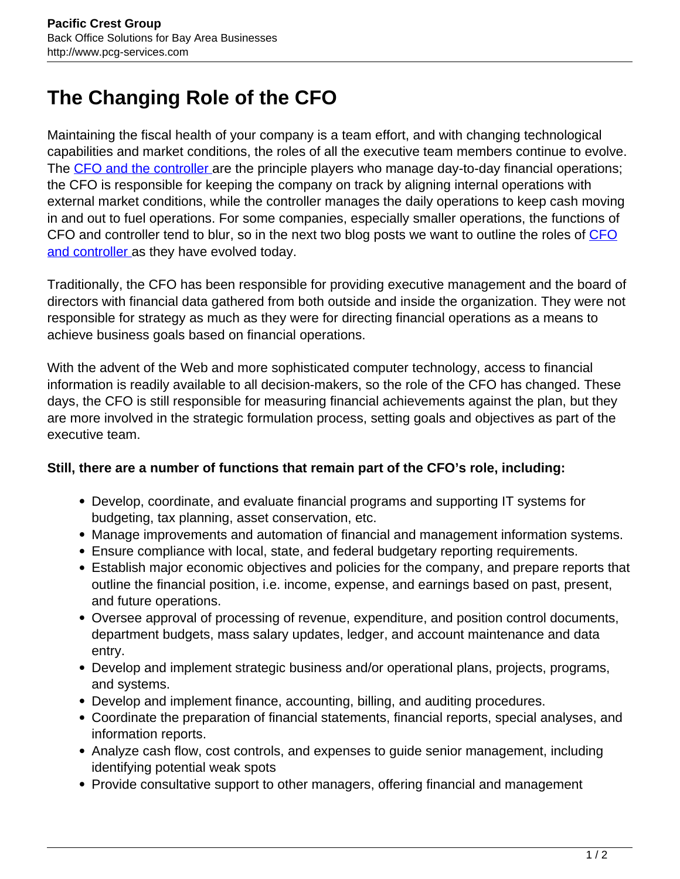## **The Changing Role of the CFO**

Maintaining the fiscal health of your company is a team effort, and with changing technological capabilities and market conditions, the roles of all the executive team members continue to evolve. The [CFO and the controller](http://www.cliffbeacham.com/CFO_vs_Controller_Duties_1.pdf) are the principle players who manage day-to-day financial operations; the CFO is responsible for keeping the company on track by aligning internal operations with external market conditions, while the controller manages the daily operations to keep cash moving in and out to fuel operations. For some companies, especially smaller operations, the functions of [CFO](http://www.pcg-services.com/services/accounting/interim-cfo-controller/) and controller tend to blur, so in the next two blog posts we want to outline the roles of CFO [and controller a](http://www.pcg-services.com/services/accounting/interim-cfo-controller/)s they have evolved today.

Traditionally, the CFO has been responsible for providing executive management and the board of directors with financial data gathered from both outside and inside the organization. They were not responsible for strategy as much as they were for directing financial operations as a means to achieve business goals based on financial operations.

With the advent of the Web and more sophisticated computer technology, access to financial information is readily available to all decision-makers, so the role of the CFO has changed. These days, the CFO is still responsible for measuring financial achievements against the plan, but they are more involved in the strategic formulation process, setting goals and objectives as part of the executive team.

## **Still, there are a number of functions that remain part of the CFO's role, including:**

- Develop, coordinate, and evaluate financial programs and supporting IT systems for budgeting, tax planning, asset conservation, etc.
- Manage improvements and automation of financial and management information systems.
- Ensure compliance with local, state, and federal budgetary reporting requirements.
- Establish major economic objectives and policies for the company, and prepare reports that outline the financial position, i.e. income, expense, and earnings based on past, present, and future operations.
- Oversee approval of processing of revenue, expenditure, and position control documents, department budgets, mass salary updates, ledger, and account maintenance and data entry.
- Develop and implement strategic business and/or operational plans, projects, programs, and systems.
- Develop and implement finance, accounting, billing, and auditing procedures.
- Coordinate the preparation of financial statements, financial reports, special analyses, and information reports.
- Analyze cash flow, cost controls, and expenses to guide senior management, including identifying potential weak spots
- Provide consultative support to other managers, offering financial and management